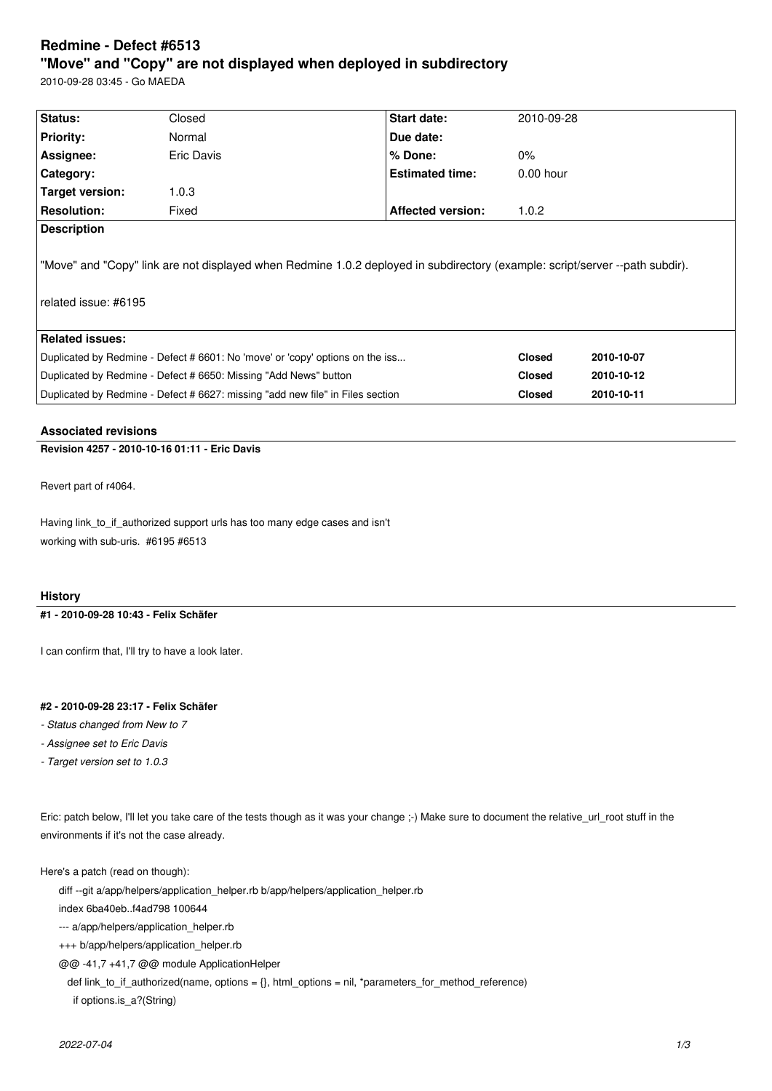# **Redmine - Defect #6513**

## **"Move" and "Copy" are not displayed when deployed in subdirectory**

2010-09-28 03:45 - Go MAEDA

| Status:                                                                                                                                              | Closed     | Start date:              | 2010-09-28    |            |
|------------------------------------------------------------------------------------------------------------------------------------------------------|------------|--------------------------|---------------|------------|
| <b>Priority:</b>                                                                                                                                     | Normal     | Due date:                |               |            |
| Assignee:                                                                                                                                            | Eric Davis | % Done:                  | $0\%$         |            |
| <b>Category:</b>                                                                                                                                     |            | <b>Estimated time:</b>   | $0.00$ hour   |            |
| Target version:                                                                                                                                      | 1.0.3      |                          |               |            |
| <b>Resolution:</b>                                                                                                                                   | Fixed      | <b>Affected version:</b> | 1.0.2         |            |
| <b>Description</b>                                                                                                                                   |            |                          |               |            |
| "Move" and "Copy" link are not displayed when Redmine 1.0.2 deployed in subdirectory (example: script/server --path subdir).<br>related issue: #6195 |            |                          |               |            |
| Related issues:                                                                                                                                      |            |                          |               |            |
| Duplicated by Redmine - Defect # 6601: No 'move' or 'copy' options on the iss                                                                        |            |                          | <b>Closed</b> | 2010-10-07 |
| Duplicated by Redmine - Defect # 6650: Missing "Add News" button                                                                                     |            |                          | <b>Closed</b> | 2010-10-12 |
| Duplicated by Redmine - Defect # 6627: missing "add new file" in Files section                                                                       |            |                          | <b>Closed</b> | 2010-10-11 |

## **Associated revisions**

## **Revision 4257 - 2010-10-16 01:11 - Eric Davis**

Revert part of r4064.

Having link\_to\_if\_authorized support urls has too many edge cases and isn't working with sub-uris. #6195 #6513

#### **History**

#### **#1 - 2010-09-28 10:43 - Felix Schäfer**

I can confirm that, I'll try to have a look later.

## **#2 - 2010-09-28 23:17 - Felix Schäfer**

*- Status changed from New to 7*

- *Assignee set to Eric Davis*
- *Target version set to 1.0.3*

Eric: patch below, I'll let you take care of the tests though as it was your change ;-) Make sure to document the relative\_url\_root stuff in the environments if it's not the case already.

Here's a patch (read on though):

diff --git a/app/helpers/application\_helper.rb b/app/helpers/application\_helper.rb

index 6ba40eb..f4ad798 100644

--- a/app/helpers/application\_helper.rb

+++ b/app/helpers/application\_helper.rb

@@ -41,7 +41,7 @@ module ApplicationHelper

def link\_to\_if\_authorized(name, options =  ${}_{\{}\}$ , html\_options = nil, \*parameters\_for\_method\_reference)

if options.is\_a?(String)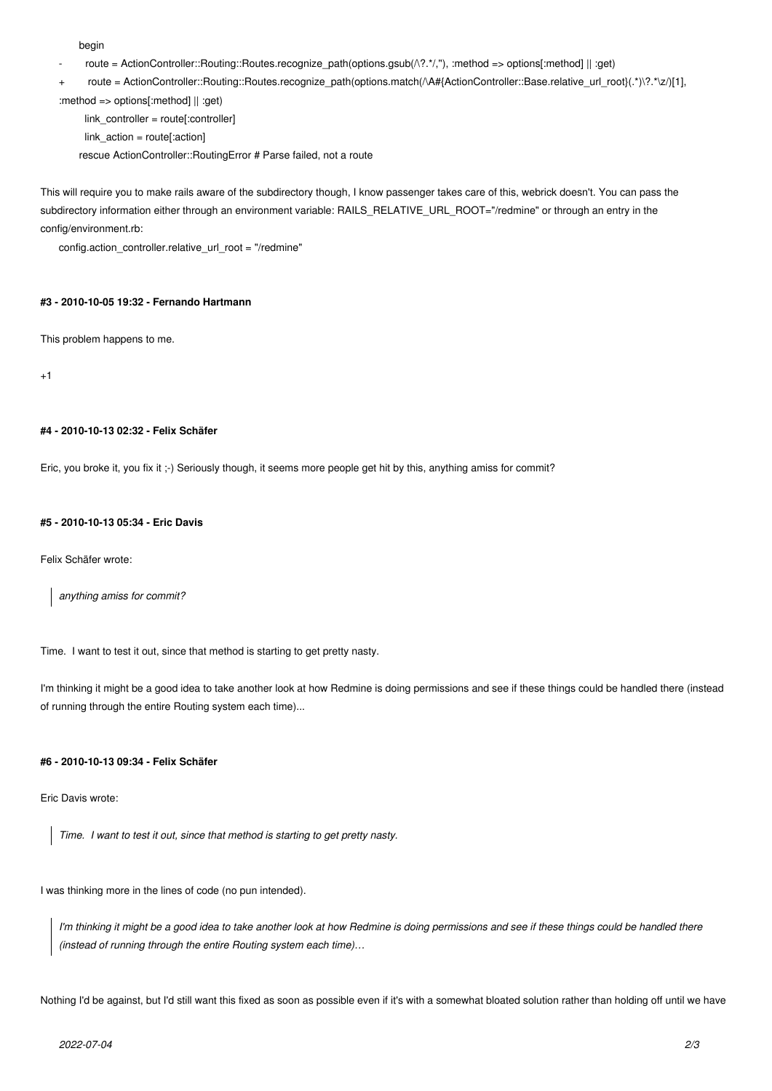begin

- route = ActionController::Routing::Routes.recognize\_path(options.gsub(/\?.\*/,"), :method => options[:method] || :get)
- route = ActionController::Routing::Routes.recognize\_path(options.match(/\A#{ActionController::Base.relative\_url\_root}(.\*)\?.\*\z/)[1],

:method => options[:method] || :get)

 link\_controller = route[:controller] link\_action = route[:action] rescue ActionController::RoutingError # Parse failed, not a route

This will require you to make rails aware of the subdirectory though, I know passenger takes care of this, webrick doesn't. You can pass the subdirectory information either through an environment variable: RAILS\_RELATIVE\_URL\_ROOT="/redmine" or through an entry in the config/environment.rb:

config.action\_controller.relative\_url\_root = "/redmine"

#### **#3 - 2010-10-05 19:32 - Fernando Hartmann**

This problem happens to me.

 $+1$ 

#### **#4 - 2010-10-13 02:32 - Felix Schäfer**

Eric, you broke it, you fix it :-) Seriously though, it seems more people get hit by this, anything amiss for commit?

#### **#5 - 2010-10-13 05:34 - Eric Davis**

Felix Schäfer wrote:

*anything amiss for commit?*

Time. I want to test it out, since that method is starting to get pretty nasty.

I'm thinking it might be a good idea to take another look at how Redmine is doing permissions and see if these things could be handled there (instead of running through the entire Routing system each time)...

#### **#6 - 2010-10-13 09:34 - Felix Schäfer**

Eric Davis wrote:

*Time. I want to test it out, since that method is starting to get pretty nasty.*

I was thinking more in the lines of code (no pun intended).

*I'm thinking it might be a good idea to take another look at how Redmine is doing permissions and see if these things could be handled there (instead of running through the entire Routing system each time)…*

Nothing I'd be against, but I'd still want this fixed as soon as possible even if it's with a somewhat bloated solution rather than holding off until we have